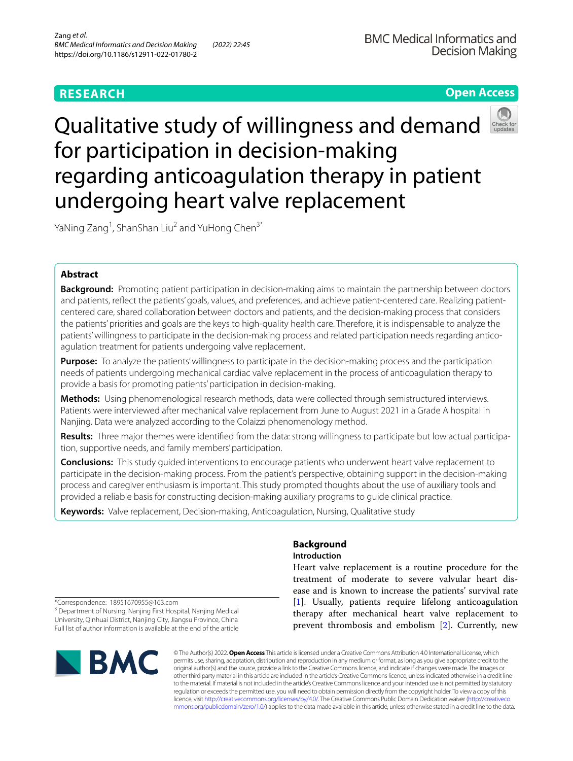## **RESEARCH**

## **Open Access**



# Qualitative study of willingness and demand for participation in decision-making regarding anticoagulation therapy in patient undergoing heart valve replacement

YaNing Zang<sup>1</sup>, ShanShan Liu<sup>2</sup> and YuHong Chen<sup>3\*</sup>

## **Abstract**

**Background:** Promoting patient participation in decision-making aims to maintain the partnership between doctors and patients, refect the patients' goals, values, and preferences, and achieve patient-centered care. Realizing patientcentered care, shared collaboration between doctors and patients, and the decision-making process that considers the patients' priorities and goals are the keys to high-quality health care. Therefore, it is indispensable to analyze the patients' willingness to participate in the decision-making process and related participation needs regarding anticoagulation treatment for patients undergoing valve replacement.

**Purpose:** To analyze the patients' willingness to participate in the decision-making process and the participation needs of patients undergoing mechanical cardiac valve replacement in the process of anticoagulation therapy to provide a basis for promoting patients' participation in decision-making.

**Methods:** Using phenomenological research methods, data were collected through semistructured interviews. Patients were interviewed after mechanical valve replacement from June to August 2021 in a Grade A hospital in Nanjing. Data were analyzed according to the Colaizzi phenomenology method.

**Results:** Three major themes were identifed from the data: strong willingness to participate but low actual participation, supportive needs, and family members' participation.

**Conclusions:** This study guided interventions to encourage patients who underwent heart valve replacement to participate in the decision-making process. From the patient's perspective, obtaining support in the decision-making process and caregiver enthusiasm is important. This study prompted thoughts about the use of auxiliary tools and provided a reliable basis for constructing decision-making auxiliary programs to guide clinical practice.

**Keywords:** Valve replacement, Decision-making, Anticoagulation, Nursing, Qualitative study

# **Background**

## **Introduction**

Heart valve replacement is a routine procedure for the treatment of moderate to severe valvular heart disease and is known to increase the patients' survival rate [[1\]](#page-7-0). Usually, patients require lifelong anticoagulation therapy after mechanical heart valve replacement to prevent thrombosis and embolism [\[2](#page-7-1)]. Currently, new

\*Correspondence: 18951670955@163.com <sup>3</sup> Department of Nursing, Nanjing First Hospital, Nanjing Medical University, Qinhuai District, Nanjing City, Jiangsu Province, China Full list of author information is available at the end of the article



© The Author(s) 2022. **Open Access** This article is licensed under a Creative Commons Attribution 4.0 International License, which permits use, sharing, adaptation, distribution and reproduction in any medium or format, as long as you give appropriate credit to the original author(s) and the source, provide a link to the Creative Commons licence, and indicate if changes were made. The images or other third party material in this article are included in the article's Creative Commons licence, unless indicated otherwise in a credit line to the material. If material is not included in the article's Creative Commons licence and your intended use is not permitted by statutory regulation or exceeds the permitted use, you will need to obtain permission directly from the copyright holder. To view a copy of this licence, visit [http://creativecommons.org/licenses/by/4.0/.](http://creativecommons.org/licenses/by/4.0/) The Creative Commons Public Domain Dedication waiver ([http://creativeco](http://creativecommons.org/publicdomain/zero/1.0/) [mmons.org/publicdomain/zero/1.0/](http://creativecommons.org/publicdomain/zero/1.0/)) applies to the data made available in this article, unless otherwise stated in a credit line to the data.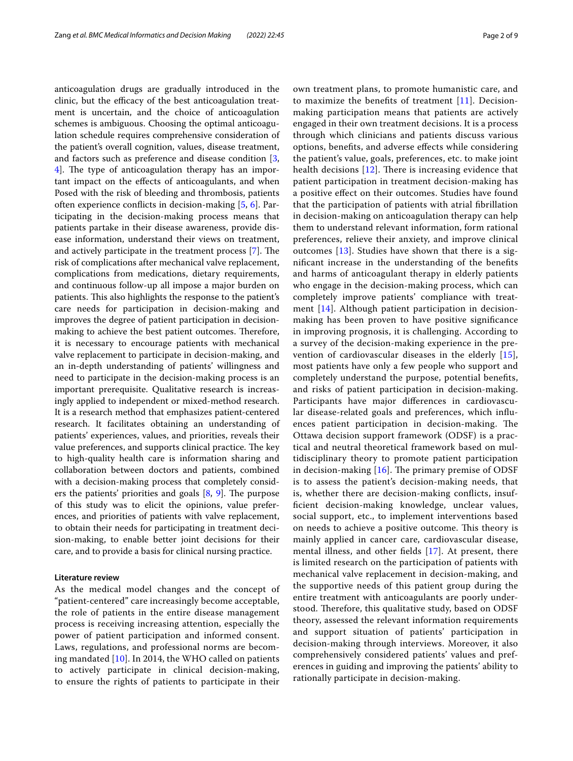anticoagulation drugs are gradually introduced in the clinic, but the efficacy of the best anticoagulation treatment is uncertain, and the choice of anticoagulation schemes is ambiguous. Choosing the optimal anticoagulation schedule requires comprehensive consideration of the patient's overall cognition, values, disease treatment, and factors such as preference and disease condition [\[3](#page-8-0), [4\]](#page-8-1). The type of anticoagulation therapy has an important impact on the efects of anticoagulants, and when Posed with the risk of bleeding and thrombosis, patients often experience conficts in decision-making [\[5](#page-8-2), [6](#page-8-3)]. Participating in the decision-making process means that patients partake in their disease awareness, provide disease information, understand their views on treatment, and actively participate in the treatment process  $[7]$ . The risk of complications after mechanical valve replacement, complications from medications, dietary requirements, and continuous follow-up all impose a major burden on patients. This also highlights the response to the patient's care needs for participation in decision-making and improves the degree of patient participation in decisionmaking to achieve the best patient outcomes. Therefore, it is necessary to encourage patients with mechanical valve replacement to participate in decision-making, and an in-depth understanding of patients' willingness and need to participate in the decision-making process is an important prerequisite. Qualitative research is increasingly applied to independent or mixed-method research. It is a research method that emphasizes patient-centered research. It facilitates obtaining an understanding of patients' experiences, values, and priorities, reveals their value preferences, and supports clinical practice. The key to high-quality health care is information sharing and collaboration between doctors and patients, combined with a decision-making process that completely considers the patients' priorities and goals  $[8, 9]$  $[8, 9]$  $[8, 9]$  $[8, 9]$  $[8, 9]$ . The purpose of this study was to elicit the opinions, value preferences, and priorities of patients with valve replacement, to obtain their needs for participating in treatment decision-making, to enable better joint decisions for their care, and to provide a basis for clinical nursing practice.

#### **Literature review**

As the medical model changes and the concept of "patient-centered" care increasingly become acceptable, the role of patients in the entire disease management process is receiving increasing attention, especially the power of patient participation and informed consent. Laws, regulations, and professional norms are becoming mandated [[10\]](#page-8-7). In 2014, the WHO called on patients to actively participate in clinical decision-making, to ensure the rights of patients to participate in their own treatment plans, to promote humanistic care, and to maximize the benefts of treatment [[11](#page-8-8)]. Decisionmaking participation means that patients are actively engaged in their own treatment decisions. It is a process through which clinicians and patients discuss various options, benefts, and adverse efects while considering the patient's value, goals, preferences, etc. to make joint health decisions  $[12]$  $[12]$ . There is increasing evidence that patient participation in treatment decision-making has a positive efect on their outcomes. Studies have found that the participation of patients with atrial fbrillation in decision-making on anticoagulation therapy can help them to understand relevant information, form rational preferences, relieve their anxiety, and improve clinical outcomes [\[13](#page-8-10)]. Studies have shown that there is a signifcant increase in the understanding of the benefts and harms of anticoagulant therapy in elderly patients who engage in the decision-making process, which can completely improve patients' compliance with treatment [[14\]](#page-8-11). Although patient participation in decisionmaking has been proven to have positive signifcance in improving prognosis, it is challenging. According to a survey of the decision-making experience in the prevention of cardiovascular diseases in the elderly [[15](#page-8-12)], most patients have only a few people who support and completely understand the purpose, potential benefts, and risks of patient participation in decision-making. Participants have major diferences in cardiovascular disease-related goals and preferences, which infuences patient participation in decision-making. The Ottawa decision support framework (ODSF) is a practical and neutral theoretical framework based on multidisciplinary theory to promote patient participation in decision-making  $[16]$  $[16]$  $[16]$ . The primary premise of ODSF is to assess the patient's decision-making needs, that is, whether there are decision-making conficts, insuffcient decision-making knowledge, unclear values, social support, etc., to implement interventions based on needs to achieve a positive outcome. This theory is mainly applied in cancer care, cardiovascular disease, mental illness, and other felds [\[17\]](#page-8-14). At present, there is limited research on the participation of patients with mechanical valve replacement in decision-making, and the supportive needs of this patient group during the entire treatment with anticoagulants are poorly understood. Therefore, this qualitative study, based on ODSF theory, assessed the relevant information requirements and support situation of patients' participation in decision-making through interviews. Moreover, it also comprehensively considered patients' values and preferences in guiding and improving the patients' ability to rationally participate in decision-making.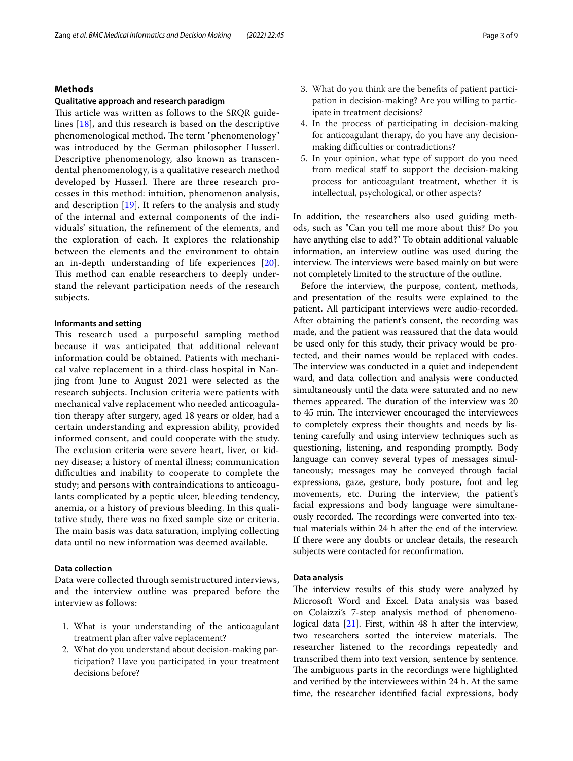## **Methods**

#### **Qualitative approach and research paradigm**

This article was written as follows to the SRQR guidelines [[18\]](#page-8-15), and this research is based on the descriptive phenomenological method. The term "phenomenology" was introduced by the German philosopher Husserl. Descriptive phenomenology, also known as transcendental phenomenology, is a qualitative research method developed by Husserl. There are three research processes in this method: intuition, phenomenon analysis, and description [[19\]](#page-8-16). It refers to the analysis and study of the internal and external components of the individuals' situation, the refnement of the elements, and the exploration of each. It explores the relationship between the elements and the environment to obtain an in-depth understanding of life experiences [[20](#page-8-17)]. This method can enable researchers to deeply understand the relevant participation needs of the research subjects.

### **Informants and setting**

This research used a purposeful sampling method because it was anticipated that additional relevant information could be obtained. Patients with mechanical valve replacement in a third-class hospital in Nanjing from June to August 2021 were selected as the research subjects. Inclusion criteria were patients with mechanical valve replacement who needed anticoagulation therapy after surgery, aged 18 years or older, had a certain understanding and expression ability, provided informed consent, and could cooperate with the study. The exclusion criteria were severe heart, liver, or kidney disease; a history of mental illness; communication difculties and inability to cooperate to complete the study; and persons with contraindications to anticoagulants complicated by a peptic ulcer, bleeding tendency, anemia, or a history of previous bleeding. In this qualitative study, there was no fxed sample size or criteria. The main basis was data saturation, implying collecting data until no new information was deemed available.

## **Data collection**

Data were collected through semistructured interviews, and the interview outline was prepared before the interview as follows:

- 1. What is your understanding of the anticoagulant treatment plan after valve replacement?
- 2. What do you understand about decision-making participation? Have you participated in your treatment decisions before?
- 3. What do you think are the benefts of patient participation in decision-making? Are you willing to participate in treatment decisions?
- 4. In the process of participating in decision-making for anticoagulant therapy, do you have any decisionmaking difficulties or contradictions?
- 5. In your opinion, what type of support do you need from medical staff to support the decision-making process for anticoagulant treatment, whether it is intellectual, psychological, or other aspects?

In addition, the researchers also used guiding methods, such as "Can you tell me more about this? Do you have anything else to add?" To obtain additional valuable information, an interview outline was used during the interview. The interviews were based mainly on but were not completely limited to the structure of the outline.

Before the interview, the purpose, content, methods, and presentation of the results were explained to the patient. All participant interviews were audio-recorded. After obtaining the patient's consent, the recording was made, and the patient was reassured that the data would be used only for this study, their privacy would be protected, and their names would be replaced with codes. The interview was conducted in a quiet and independent ward, and data collection and analysis were conducted simultaneously until the data were saturated and no new themes appeared. The duration of the interview was 20 to 45 min. The interviewer encouraged the interviewees to completely express their thoughts and needs by listening carefully and using interview techniques such as questioning, listening, and responding promptly. Body language can convey several types of messages simultaneously; messages may be conveyed through facial expressions, gaze, gesture, body posture, foot and leg movements, etc. During the interview, the patient's facial expressions and body language were simultaneously recorded. The recordings were converted into textual materials within 24 h after the end of the interview. If there were any doubts or unclear details, the research subjects were contacted for reconfrmation.

#### **Data analysis**

The interview results of this study were analyzed by Microsoft Word and Excel. Data analysis was based on Colaizzi's 7-step analysis method of phenomenological data [\[21](#page-8-18)]. First, within 48 h after the interview, two researchers sorted the interview materials. The researcher listened to the recordings repeatedly and transcribed them into text version, sentence by sentence. The ambiguous parts in the recordings were highlighted and verifed by the interviewees within 24 h. At the same time, the researcher identifed facial expressions, body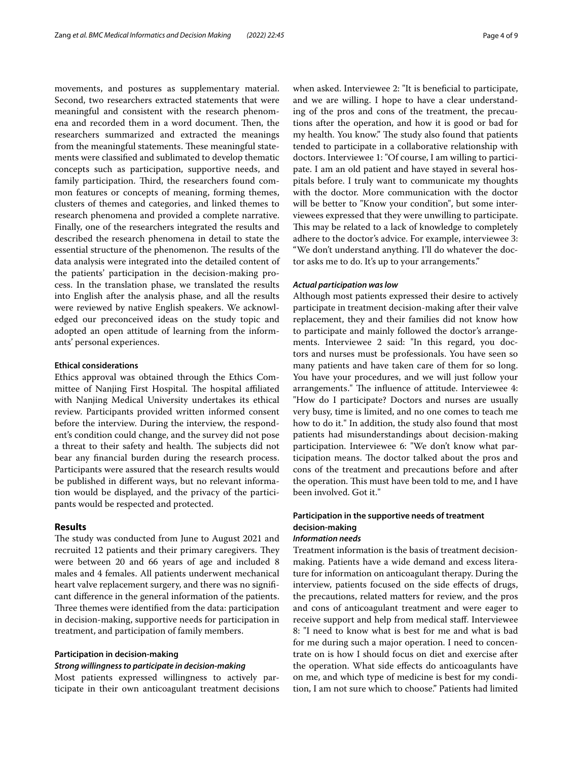movements, and postures as supplementary material. Second, two researchers extracted statements that were meaningful and consistent with the research phenomena and recorded them in a word document. Then, the researchers summarized and extracted the meanings from the meaningful statements. These meaningful statements were classifed and sublimated to develop thematic concepts such as participation, supportive needs, and family participation. Third, the researchers found common features or concepts of meaning, forming themes, clusters of themes and categories, and linked themes to research phenomena and provided a complete narrative. Finally, one of the researchers integrated the results and described the research phenomena in detail to state the essential structure of the phenomenon. The results of the data analysis were integrated into the detailed content of the patients' participation in the decision-making process. In the translation phase, we translated the results into English after the analysis phase, and all the results were reviewed by native English speakers. We acknowledged our preconceived ideas on the study topic and adopted an open attitude of learning from the informants' personal experiences.

#### **Ethical considerations**

Ethics approval was obtained through the Ethics Committee of Nanjing First Hospital. The hospital affiliated with Nanjing Medical University undertakes its ethical review. Participants provided written informed consent before the interview. During the interview, the respondent's condition could change, and the survey did not pose a threat to their safety and health. The subjects did not bear any fnancial burden during the research process. Participants were assured that the research results would be published in diferent ways, but no relevant information would be displayed, and the privacy of the participants would be respected and protected.

#### **Results**

The study was conducted from June to August 2021 and recruited 12 patients and their primary caregivers. They were between 20 and 66 years of age and included 8 males and 4 females. All patients underwent mechanical heart valve replacement surgery, and there was no signifcant diference in the general information of the patients. Three themes were identified from the data: participation in decision-making, supportive needs for participation in treatment, and participation of family members.

## **Participation in decision‑making**

### *Strong willingness to participate in decision‑making*

Most patients expressed willingness to actively participate in their own anticoagulant treatment decisions when asked. Interviewee 2: "It is beneficial to participate, and we are willing. I hope to have a clear understanding of the pros and cons of the treatment, the precautions after the operation, and how it is good or bad for my health. You know." The study also found that patients tended to participate in a collaborative relationship with doctors. Interviewee 1: "Of course, I am willing to participate. I am an old patient and have stayed in several hospitals before. I truly want to communicate my thoughts with the doctor. More communication with the doctor will be better to "Know your condition", but some interviewees expressed that they were unwilling to participate. This may be related to a lack of knowledge to completely adhere to the doctor's advice. For example, interviewee 3: "We don't understand anything. I'll do whatever the doctor asks me to do. It's up to your arrangements."

### *Actual participation was low*

Although most patients expressed their desire to actively participate in treatment decision-making after their valve replacement, they and their families did not know how to participate and mainly followed the doctor's arrangements. Interviewee 2 said: "In this regard, you doctors and nurses must be professionals. You have seen so many patients and have taken care of them for so long. You have your procedures, and we will just follow your arrangements." The influence of attitude. Interviewee 4: "How do I participate? Doctors and nurses are usually very busy, time is limited, and no one comes to teach me how to do it." In addition, the study also found that most patients had misunderstandings about decision-making participation. Interviewee 6: "We don't know what participation means. The doctor talked about the pros and cons of the treatment and precautions before and after the operation. This must have been told to me, and I have been involved. Got it."

## **Participation in the supportive needs of treatment decision‑making**

## *Information needs*

Treatment information is the basis of treatment decisionmaking. Patients have a wide demand and excess literature for information on anticoagulant therapy. During the interview, patients focused on the side efects of drugs, the precautions, related matters for review, and the pros and cons of anticoagulant treatment and were eager to receive support and help from medical staf. Interviewee 8: "I need to know what is best for me and what is bad for me during such a major operation. I need to concentrate on is how I should focus on diet and exercise after the operation. What side efects do anticoagulants have on me, and which type of medicine is best for my condition, I am not sure which to choose." Patients had limited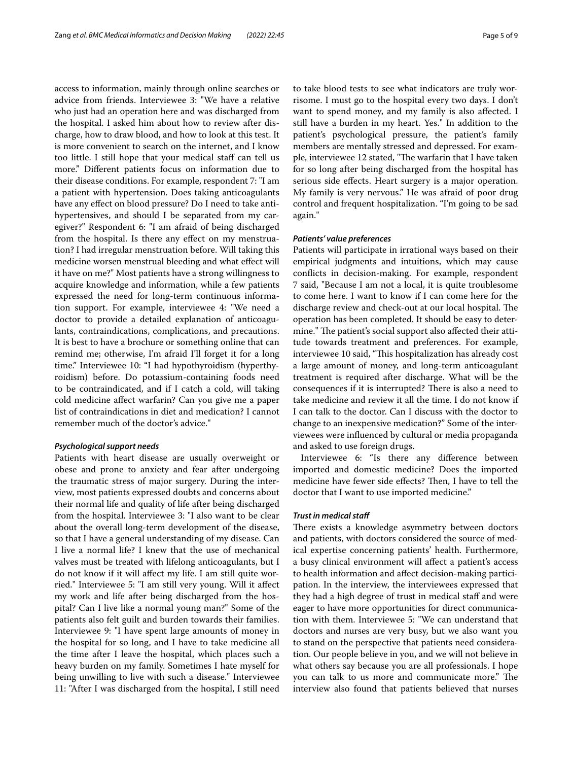access to information, mainly through online searches or advice from friends. Interviewee 3: "We have a relative who just had an operation here and was discharged from the hospital. I asked him about how to review after discharge, how to draw blood, and how to look at this test. It is more convenient to search on the internet, and I know too little. I still hope that your medical staff can tell us more." Diferent patients focus on information due to their disease conditions. For example, respondent 7: "I am a patient with hypertension. Does taking anticoagulants have any efect on blood pressure? Do I need to take antihypertensives, and should I be separated from my caregiver?" Respondent 6: "I am afraid of being discharged from the hospital. Is there any efect on my menstruation? I had irregular menstruation before. Will taking this medicine worsen menstrual bleeding and what efect will it have on me?" Most patients have a strong willingness to acquire knowledge and information, while a few patients expressed the need for long-term continuous information support. For example, interviewee 4: "We need a doctor to provide a detailed explanation of anticoagulants, contraindications, complications, and precautions. It is best to have a brochure or something online that can remind me; otherwise, I'm afraid I'll forget it for a long time." Interviewee 10: "I had hypothyroidism (hyperthyroidism) before. Do potassium-containing foods need to be contraindicated, and if I catch a cold, will taking cold medicine afect warfarin? Can you give me a paper list of contraindications in diet and medication? I cannot remember much of the doctor's advice."

### *Psychological support needs*

Patients with heart disease are usually overweight or obese and prone to anxiety and fear after undergoing the traumatic stress of major surgery. During the interview, most patients expressed doubts and concerns about their normal life and quality of life after being discharged from the hospital. Interviewee 3: "I also want to be clear about the overall long-term development of the disease, so that I have a general understanding of my disease. Can I live a normal life? I knew that the use of mechanical valves must be treated with lifelong anticoagulants, but I do not know if it will afect my life. I am still quite worried." Interviewee 5: "I am still very young. Will it afect my work and life after being discharged from the hospital? Can I live like a normal young man?" Some of the patients also felt guilt and burden towards their families. Interviewee 9: "I have spent large amounts of money in the hospital for so long, and I have to take medicine all the time after I leave the hospital, which places such a heavy burden on my family. Sometimes I hate myself for being unwilling to live with such a disease." Interviewee 11: "After I was discharged from the hospital, I still need to take blood tests to see what indicators are truly worrisome. I must go to the hospital every two days. I don't want to spend money, and my family is also afected. I still have a burden in my heart. Yes." In addition to the patient's psychological pressure, the patient's family members are mentally stressed and depressed. For example, interviewee 12 stated, "The warfarin that I have taken for so long after being discharged from the hospital has serious side efects. Heart surgery is a major operation. My family is very nervous." He was afraid of poor drug control and frequent hospitalization. "I'm going to be sad again."

### *Patients' value preferences*

Patients will participate in irrational ways based on their empirical judgments and intuitions, which may cause conficts in decision-making. For example, respondent 7 said, "Because I am not a local, it is quite troublesome to come here. I want to know if I can come here for the discharge review and check-out at our local hospital. The operation has been completed. It should be easy to determine." The patient's social support also affected their attitude towards treatment and preferences. For example, interviewee 10 said, "This hospitalization has already cost a large amount of money, and long-term anticoagulant treatment is required after discharge. What will be the consequences if it is interrupted? There is also a need to take medicine and review it all the time. I do not know if I can talk to the doctor. Can I discuss with the doctor to change to an inexpensive medication?" Some of the interviewees were infuenced by cultural or media propaganda and asked to use foreign drugs.

Interviewee 6: "Is there any diference between imported and domestic medicine? Does the imported medicine have fewer side effects? Then, I have to tell the doctor that I want to use imported medicine."

## *Trust in medical staf*

There exists a knowledge asymmetry between doctors and patients, with doctors considered the source of medical expertise concerning patients' health. Furthermore, a busy clinical environment will afect a patient's access to health information and afect decision-making participation. In the interview, the interviewees expressed that they had a high degree of trust in medical staff and were eager to have more opportunities for direct communication with them. Interviewee 5: "We can understand that doctors and nurses are very busy, but we also want you to stand on the perspective that patients need consideration. Our people believe in you, and we will not believe in what others say because you are all professionals. I hope you can talk to us more and communicate more." The interview also found that patients believed that nurses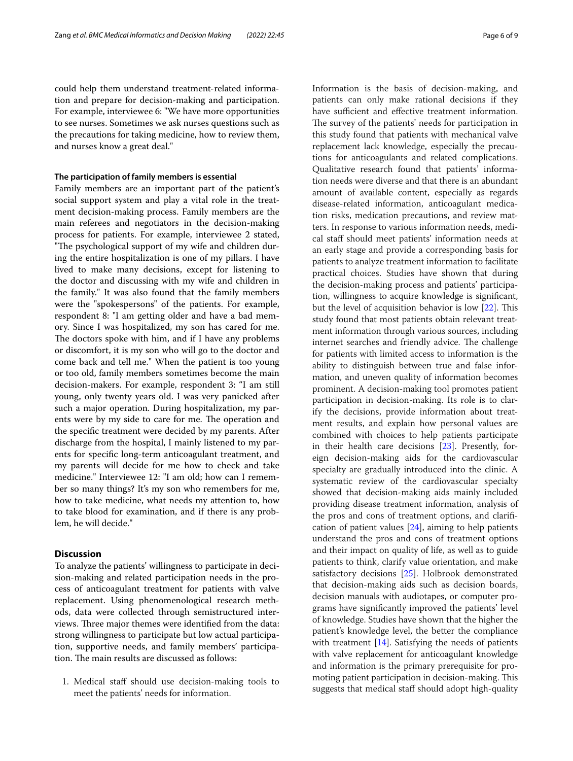could help them understand treatment-related information and prepare for decision-making and participation. For example, interviewee 6: "We have more opportunities to see nurses. Sometimes we ask nurses questions such as the precautions for taking medicine, how to review them, and nurses know a great deal."

### **The participation of family members is essential**

Family members are an important part of the patient's social support system and play a vital role in the treatment decision-making process. Family members are the main referees and negotiators in the decision-making process for patients. For example, interviewee 2 stated, "The psychological support of my wife and children during the entire hospitalization is one of my pillars. I have lived to make many decisions, except for listening to the doctor and discussing with my wife and children in the family." It was also found that the family members were the "spokespersons" of the patients. For example, respondent 8: "I am getting older and have a bad memory. Since I was hospitalized, my son has cared for me. The doctors spoke with him, and if I have any problems or discomfort, it is my son who will go to the doctor and come back and tell me." When the patient is too young or too old, family members sometimes become the main decision-makers. For example, respondent 3: "I am still young, only twenty years old. I was very panicked after such a major operation. During hospitalization, my parents were by my side to care for me. The operation and the specifc treatment were decided by my parents. After discharge from the hospital, I mainly listened to my parents for specifc long-term anticoagulant treatment, and my parents will decide for me how to check and take medicine." Interviewee 12: "I am old; how can I remember so many things? It's my son who remembers for me, how to take medicine, what needs my attention to, how to take blood for examination, and if there is any problem, he will decide."

## **Discussion**

To analyze the patients' willingness to participate in decision-making and related participation needs in the process of anticoagulant treatment for patients with valve replacement. Using phenomenological research methods, data were collected through semistructured interviews. Three major themes were identified from the data: strong willingness to participate but low actual participation, supportive needs, and family members' participation. The main results are discussed as follows:

1. Medical staff should use decision-making tools to meet the patients' needs for information.

Information is the basis of decision-making, and patients can only make rational decisions if they have sufficient and effective treatment information. The survey of the patients' needs for participation in this study found that patients with mechanical valve replacement lack knowledge, especially the precautions for anticoagulants and related complications. Qualitative research found that patients' information needs were diverse and that there is an abundant amount of available content, especially as regards disease-related information, anticoagulant medication risks, medication precautions, and review matters. In response to various information needs, medical staf should meet patients' information needs at an early stage and provide a corresponding basis for patients to analyze treatment information to facilitate practical choices. Studies have shown that during the decision-making process and patients' participation, willingness to acquire knowledge is signifcant, but the level of acquisition behavior is low [[22](#page-8-19)]. This study found that most patients obtain relevant treatment information through various sources, including internet searches and friendly advice. The challenge for patients with limited access to information is the ability to distinguish between true and false information, and uneven quality of information becomes prominent. A decision-making tool promotes patient participation in decision-making. Its role is to clarify the decisions, provide information about treatment results, and explain how personal values are combined with choices to help patients participate in their health care decisions [[23\]](#page-8-20). Presently, foreign decision-making aids for the cardiovascular specialty are gradually introduced into the clinic. A systematic review of the cardiovascular specialty showed that decision-making aids mainly included providing disease treatment information, analysis of the pros and cons of treatment options, and clarifcation of patient values [\[24\]](#page-8-21), aiming to help patients understand the pros and cons of treatment options and their impact on quality of life, as well as to guide patients to think, clarify value orientation, and make satisfactory decisions [[25\]](#page-8-22). Holbrook demonstrated that decision-making aids such as decision boards, decision manuals with audiotapes, or computer programs have signifcantly improved the patients' level of knowledge. Studies have shown that the higher the patient's knowledge level, the better the compliance with treatment [\[14\]](#page-8-11). Satisfying the needs of patients with valve replacement for anticoagulant knowledge and information is the primary prerequisite for promoting patient participation in decision-making. This suggests that medical staf should adopt high-quality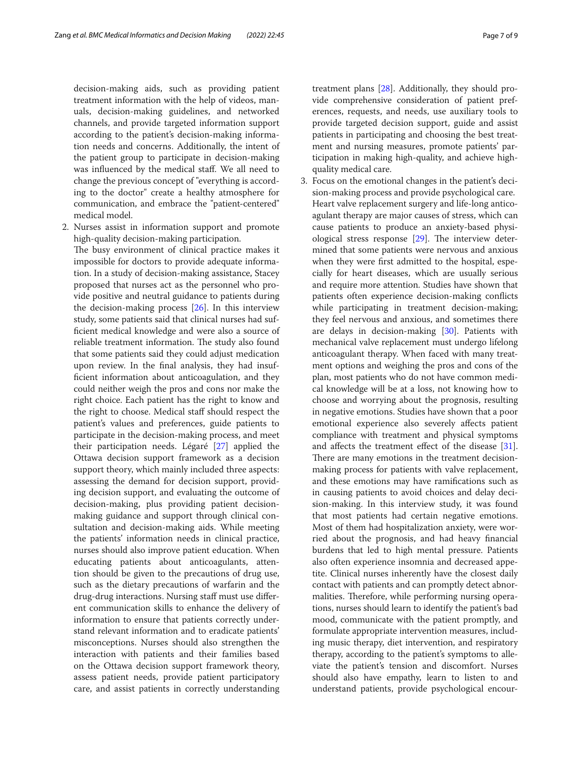decision-making aids, such as providing patient treatment information with the help of videos, manuals, decision-making guidelines, and networked channels, and provide targeted information support according to the patient's decision-making information needs and concerns. Additionally, the intent of the patient group to participate in decision-making was infuenced by the medical staf. We all need to change the previous concept of "everything is according to the doctor" create a healthy atmosphere for communication, and embrace the "patient-centered" medical model.

- 2. Nurses assist in information support and promote high-quality decision-making participation.
	- The busy environment of clinical practice makes it impossible for doctors to provide adequate information. In a study of decision-making assistance, Stacey proposed that nurses act as the personnel who provide positive and neutral guidance to patients during the decision-making process [\[26\]](#page-8-23). In this interview study, some patients said that clinical nurses had suffcient medical knowledge and were also a source of reliable treatment information. The study also found that some patients said they could adjust medication upon review. In the fnal analysis, they had insuffcient information about anticoagulation, and they could neither weigh the pros and cons nor make the right choice. Each patient has the right to know and the right to choose. Medical staf should respect the patient's values and preferences, guide patients to participate in the decision-making process, and meet their participation needs. Légaré [[27](#page-8-24)] applied the Ottawa decision support framework as a decision support theory, which mainly included three aspects: assessing the demand for decision support, providing decision support, and evaluating the outcome of decision-making, plus providing patient decisionmaking guidance and support through clinical consultation and decision-making aids. While meeting the patients' information needs in clinical practice, nurses should also improve patient education. When educating patients about anticoagulants, attention should be given to the precautions of drug use, such as the dietary precautions of warfarin and the drug-drug interactions. Nursing staff must use different communication skills to enhance the delivery of information to ensure that patients correctly understand relevant information and to eradicate patients' misconceptions. Nurses should also strengthen the interaction with patients and their families based on the Ottawa decision support framework theory, assess patient needs, provide patient participatory care, and assist patients in correctly understanding

treatment plans [[28\]](#page-8-25). Additionally, they should provide comprehensive consideration of patient preferences, requests, and needs, use auxiliary tools to provide targeted decision support, guide and assist patients in participating and choosing the best treatment and nursing measures, promote patients' participation in making high-quality, and achieve highquality medical care.

3. Focus on the emotional changes in the patient's decision-making process and provide psychological care. Heart valve replacement surgery and life-long anticoagulant therapy are major causes of stress, which can cause patients to produce an anxiety-based physiological stress response  $[29]$  $[29]$  $[29]$ . The interview determined that some patients were nervous and anxious when they were frst admitted to the hospital, especially for heart diseases, which are usually serious and require more attention. Studies have shown that patients often experience decision-making conficts while participating in treatment decision-making; they feel nervous and anxious, and sometimes there are delays in decision-making [\[30\]](#page-8-27). Patients with mechanical valve replacement must undergo lifelong anticoagulant therapy. When faced with many treatment options and weighing the pros and cons of the plan, most patients who do not have common medical knowledge will be at a loss, not knowing how to choose and worrying about the prognosis, resulting in negative emotions. Studies have shown that a poor emotional experience also severely afects patient compliance with treatment and physical symptoms and afects the treatment efect of the disease [[31](#page-8-28)]. There are many emotions in the treatment decisionmaking process for patients with valve replacement, and these emotions may have ramifcations such as in causing patients to avoid choices and delay decision-making. In this interview study, it was found that most patients had certain negative emotions. Most of them had hospitalization anxiety, were worried about the prognosis, and had heavy fnancial burdens that led to high mental pressure. Patients also often experience insomnia and decreased appetite. Clinical nurses inherently have the closest daily contact with patients and can promptly detect abnormalities. Therefore, while performing nursing operations, nurses should learn to identify the patient's bad mood, communicate with the patient promptly, and formulate appropriate intervention measures, including music therapy, diet intervention, and respiratory therapy, according to the patient's symptoms to alleviate the patient's tension and discomfort. Nurses should also have empathy, learn to listen to and understand patients, provide psychological encour-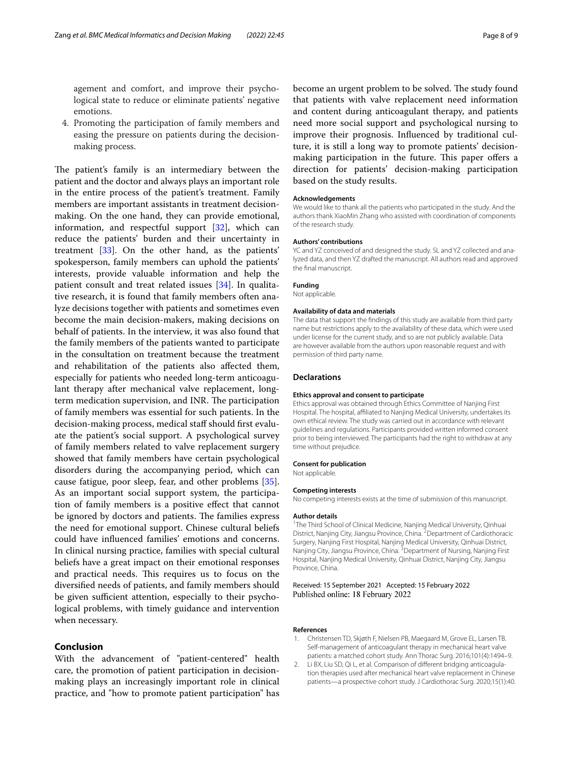agement and comfort, and improve their psychological state to reduce or eliminate patients' negative emotions.

4. Promoting the participation of family members and easing the pressure on patients during the decisionmaking process.

The patient's family is an intermediary between the patient and the doctor and always plays an important role in the entire process of the patient's treatment. Family members are important assistants in treatment decisionmaking. On the one hand, they can provide emotional, information, and respectful support  $[32]$  $[32]$ , which can reduce the patients' burden and their uncertainty in treatment [\[33](#page-8-30)]. On the other hand, as the patients' spokesperson, family members can uphold the patients' interests, provide valuable information and help the patient consult and treat related issues [\[34](#page-8-31)]. In qualitative research, it is found that family members often analyze decisions together with patients and sometimes even become the main decision-makers, making decisions on behalf of patients. In the interview, it was also found that the family members of the patients wanted to participate in the consultation on treatment because the treatment and rehabilitation of the patients also afected them, especially for patients who needed long-term anticoagulant therapy after mechanical valve replacement, longterm medication supervision, and INR. The participation of family members was essential for such patients. In the decision-making process, medical staff should first evaluate the patient's social support. A psychological survey of family members related to valve replacement surgery showed that family members have certain psychological disorders during the accompanying period, which can cause fatigue, poor sleep, fear, and other problems [\[35](#page-8-32)]. As an important social support system, the participation of family members is a positive efect that cannot be ignored by doctors and patients. The families express the need for emotional support. Chinese cultural beliefs could have infuenced families' emotions and concerns. In clinical nursing practice, families with special cultural beliefs have a great impact on their emotional responses and practical needs. This requires us to focus on the diversifed needs of patients, and family members should be given sufficient attention, especially to their psychological problems, with timely guidance and intervention when necessary.

## **Conclusion**

With the advancement of "patient-centered" health care, the promotion of patient participation in decisionmaking plays an increasingly important role in clinical practice, and "how to promote patient participation" has

become an urgent problem to be solved. The study found that patients with valve replacement need information and content during anticoagulant therapy, and patients need more social support and psychological nursing to improve their prognosis. Infuenced by traditional culture, it is still a long way to promote patients' decisionmaking participation in the future. This paper offers a direction for patients' decision-making participation based on the study results.

#### **Acknowledgements**

We would like to thank all the patients who participated in the study. And the authors thank XiaoMin Zhang who assisted with coordination of components of the research study.

#### **Authors' contributions**

YC and YZ conceived of and designed the study. SL and YZ collected and analyzed data, and then YZ drafted the manuscript. All authors read and approved the fnal manuscript.

#### **Funding**

Not applicable.

#### **Availability of data and materials**

The data that support the fndings of this study are available from third party name but restrictions apply to the availability of these data, which were used under license for the current study, and so are not publicly available. Data are however available from the authors upon reasonable request and with permission of third party name.

#### **Declarations**

#### **Ethics approval and consent to participate**

Ethics approval was obtained through Ethics Committee of Nanjing First Hospital. The hospital, affiliated to Nanjing Medical University, undertakes its own ethical review. The study was carried out in accordance with relevant guidelines and regulations. Participants provided written informed consent prior to being interviewed. The participants had the right to withdraw at any time without prejudice.

#### **Consent for publication**

Not applicable.

#### **Competing interests**

No competing interests exists at the time of submission of this manuscript.

#### **Author details**

<sup>1</sup>The Third School of Clinical Medicine, Nanjing Medical University, Qinhuai District, Nanjing City, Jiangsu Province, China. <sup>2</sup> Department of Cardiothoracic Surgery, Nanjing First Hospital, Nanjing Medical University, Qinhuai District, Nanjing City, Jiangsu Province, China. <sup>3</sup> Department of Nursing, Nanjing First Hospital, Nanjing Medical University, Qinhuai District, Nanjing City, Jiangsu Province, China.

#### Received: 15 September 2021 Accepted: 15 February 2022 Published online: 18 February 2022

#### **References**

- <span id="page-7-0"></span>1. Christensen TD, Skjøth F, Nielsen PB, Maegaard M, Grove EL, Larsen TB. Self-management of anticoagulant therapy in mechanical heart valve patients: a matched cohort study. Ann Thorac Surg. 2016;101(4):1494–9.
- <span id="page-7-1"></span>2. Li BX, Liu SD, Qi L, et al. Comparison of diferent bridging anticoagulation therapies used after mechanical heart valve replacement in Chinese patients—a prospective cohort study. J Cardiothorac Surg. 2020;15(1):40.